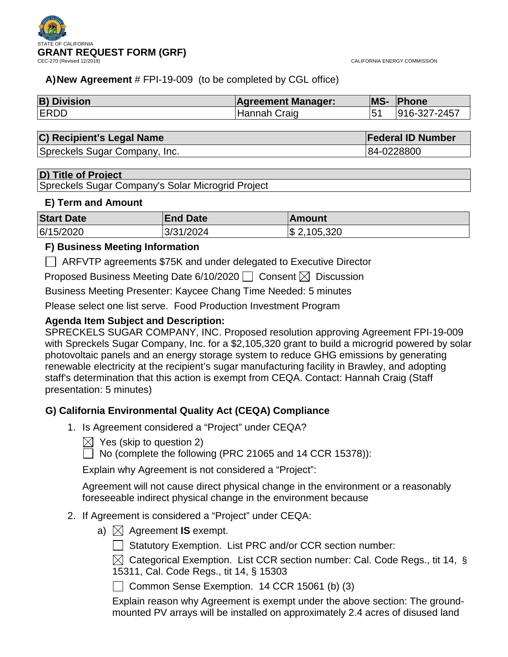

CALIFORNIA ENERGY COMMISSION

**Federal ID Number** 

# **A)New Agreement** # FPI-19-009 (to be completed by CGL office)

| <b>B) Division</b> | <b>Agreement Manager:</b> | <b>MS- Phone</b> |
|--------------------|---------------------------|------------------|
| <b>ERDD</b>        | Hannah Craig              | 916-327-2457     |

| C) Recipient's Legal Name |
|---------------------------|
|                           |

Spreckels Sugar Company, Inc. 64-0228800 Spreckels Sugar Company, Inc.

# **D) Title of Project**

Spreckels Sugar Company's Solar Microgrid Project

# **E) Term and Amount**

| <b>Start Date</b> | <b>End Date</b> | <b>Amount</b> |
|-------------------|-----------------|---------------|
| 6/15/2020         | 3/31/2024       | \$ 2,105,320  |

# **F) Business Meeting Information**

ARFVTP agreements \$75K and under delegated to Executive Director

Proposed Business Meeting Date 6/10/2020  $\Box$  Consent  $\boxtimes$  Discussion

Business Meeting Presenter: Kaycee Chang Time Needed: 5 minutes

Please select one list serve. Food Production Investment Program

# **Agenda Item Subject and Description:**

SPRECKELS SUGAR COMPANY, INC. Proposed resolution approving Agreement FPI-19-009 with Spreckels Sugar Company, Inc. for a \$2,105,320 grant to build a microgrid powered by solar photovoltaic panels and an energy storage system to reduce GHG emissions by generating renewable electricity at the recipient's sugar manufacturing facility in Brawley, and adopting staff's determination that this action is exempt from CEQA. Contact: Hannah Craig (Staff presentation: 5 minutes)

# **G) California Environmental Quality Act (CEQA) Compliance**

- 1. Is Agreement considered a "Project" under CEQA?
	- $\boxtimes$  Yes (skip to question 2)

No (complete the following (PRC 21065 and 14 CCR 15378)):

Explain why Agreement is not considered a "Project":

Agreement will not cause direct physical change in the environment or a reasonably foreseeable indirect physical change in the environment because

- 2. If Agreement is considered a "Project" under CEQA:
	- a)  $\boxtimes$  Agreement **IS** exempt.
		- $\Box$  Statutory Exemption. List PRC and/or CCR section number:

 $\boxtimes$  Categorical Exemption. List CCR section number: Cal. Code Regs., tit 14, § 15311, Cal. Code Regs., tit 14, § 15303

◯ Common Sense Exemption. 14 CCR 15061 (b) (3)

Explain reason why Agreement is exempt under the above section: The groundmounted PV arrays will be installed on approximately 2.4 acres of disused land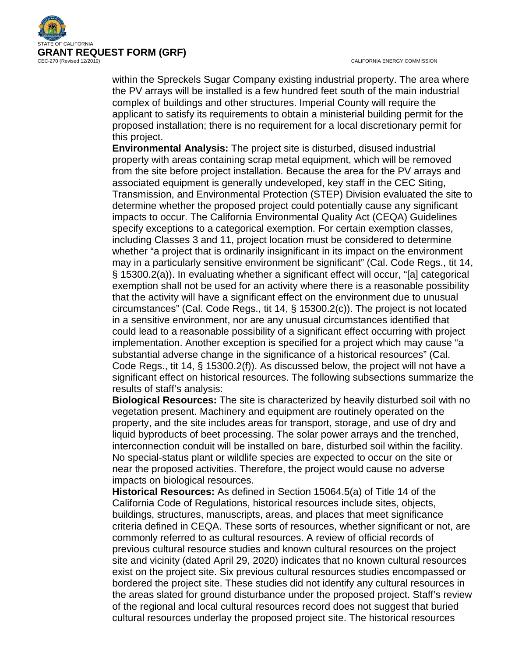



within the Spreckels Sugar Company existing industrial property. The area where the PV arrays will be installed is a few hundred feet south of the main industrial complex of buildings and other structures. Imperial County will require the applicant to satisfy its requirements to obtain a ministerial building permit for the proposed installation; there is no requirement for a local discretionary permit for this project.

**Environmental Analysis:** The project site is disturbed, disused industrial property with areas containing scrap metal equipment, which will be removed from the site before project installation. Because the area for the PV arrays and associated equipment is generally undeveloped, key staff in the CEC Siting, Transmission, and Environmental Protection (STEP) Division evaluated the site to determine whether the proposed project could potentially cause any significant impacts to occur. The California Environmental Quality Act (CEQA) Guidelines specify exceptions to a categorical exemption. For certain exemption classes, including Classes 3 and 11, project location must be considered to determine whether "a project that is ordinarily insignificant in its impact on the environment may in a particularly sensitive environment be significant" (Cal. Code Regs., tit 14, § 15300.2(a)). In evaluating whether a significant effect will occur, "[a] categorical exemption shall not be used for an activity where there is a reasonable possibility that the activity will have a significant effect on the environment due to unusual circumstances" (Cal. Code Regs., tit 14, § 15300.2(c)). The project is not located in a sensitive environment, nor are any unusual circumstances identified that could lead to a reasonable possibility of a significant effect occurring with project implementation. Another exception is specified for a project which may cause "a substantial adverse change in the significance of a historical resources" (Cal. Code Regs., tit 14, § 15300.2(f)). As discussed below, the project will not have a significant effect on historical resources. The following subsections summarize the results of staff's analysis:

**Biological Resources:** The site is characterized by heavily disturbed soil with no vegetation present. Machinery and equipment are routinely operated on the property, and the site includes areas for transport, storage, and use of dry and liquid byproducts of beet processing. The solar power arrays and the trenched, interconnection conduit will be installed on bare, disturbed soil within the facility. No special-status plant or wildlife species are expected to occur on the site or near the proposed activities. Therefore, the project would cause no adverse impacts on biological resources.

**Historical Resources:** As defined in Section 15064.5(a) of Title 14 of the California Code of Regulations, historical resources include sites, objects, buildings, structures, manuscripts, areas, and places that meet significance criteria defined in CEQA. These sorts of resources, whether significant or not, are commonly referred to as cultural resources. A review of official records of previous cultural resource studies and known cultural resources on the project site and vicinity (dated April 29, 2020) indicates that no known cultural resources exist on the project site. Six previous cultural resources studies encompassed or bordered the project site. These studies did not identify any cultural resources in the areas slated for ground disturbance under the proposed project. Staff's review of the regional and local cultural resources record does not suggest that buried cultural resources underlay the proposed project site. The historical resources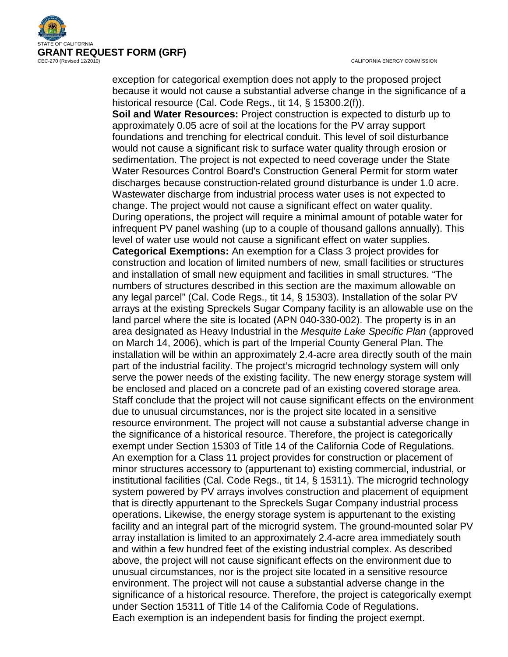

CALIFORNIA ENERGY COMMISSION

exception for categorical exemption does not apply to the proposed project because it would not cause a substantial adverse change in the significance of a historical resource (Cal. Code Regs., tit 14, § 15300.2(f)).

**Soil and Water Resources:** Project construction is expected to disturb up to approximately 0.05 acre of soil at the locations for the PV array support foundations and trenching for electrical conduit. This level of soil disturbance would not cause a significant risk to surface water quality through erosion or sedimentation. The project is not expected to need coverage under the State Water Resources Control Board's Construction General Permit for storm water discharges because construction-related ground disturbance is under 1.0 acre. Wastewater discharge from industrial process water uses is not expected to change. The project would not cause a significant effect on water quality. During operations, the project will require a minimal amount of potable water for infrequent PV panel washing (up to a couple of thousand gallons annually). This level of water use would not cause a significant effect on water supplies. **Categorical Exemptions:** An exemption for a Class 3 project provides for construction and location of limited numbers of new, small facilities or structures and installation of small new equipment and facilities in small structures. "The numbers of structures described in this section are the maximum allowable on any legal parcel" (Cal. Code Regs., tit 14, § 15303). Installation of the solar PV arrays at the existing Spreckels Sugar Company facility is an allowable use on the land parcel where the site is located (APN 040-330-002). The property is in an area designated as Heavy Industrial in the *Mesquite Lake Specific Plan* (approved on March 14, 2006), which is part of the Imperial County General Plan. The installation will be within an approximately 2.4-acre area directly south of the main part of the industrial facility. The project's microgrid technology system will only serve the power needs of the existing facility. The new energy storage system will be enclosed and placed on a concrete pad of an existing covered storage area. Staff conclude that the project will not cause significant effects on the environment due to unusual circumstances, nor is the project site located in a sensitive resource environment. The project will not cause a substantial adverse change in the significance of a historical resource. Therefore, the project is categorically exempt under Section 15303 of Title 14 of the California Code of Regulations. An exemption for a Class 11 project provides for construction or placement of minor structures accessory to (appurtenant to) existing commercial, industrial, or institutional facilities (Cal. Code Regs., tit 14, § 15311). The microgrid technology system powered by PV arrays involves construction and placement of equipment that is directly appurtenant to the Spreckels Sugar Company industrial process operations. Likewise, the energy storage system is appurtenant to the existing facility and an integral part of the microgrid system. The ground-mounted solar PV array installation is limited to an approximately 2.4-acre area immediately south and within a few hundred feet of the existing industrial complex. As described above, the project will not cause significant effects on the environment due to unusual circumstances, nor is the project site located in a sensitive resource environment. The project will not cause a substantial adverse change in the significance of a historical resource. Therefore, the project is categorically exempt under Section 15311 of Title 14 of the California Code of Regulations. Each exemption is an independent basis for finding the project exempt.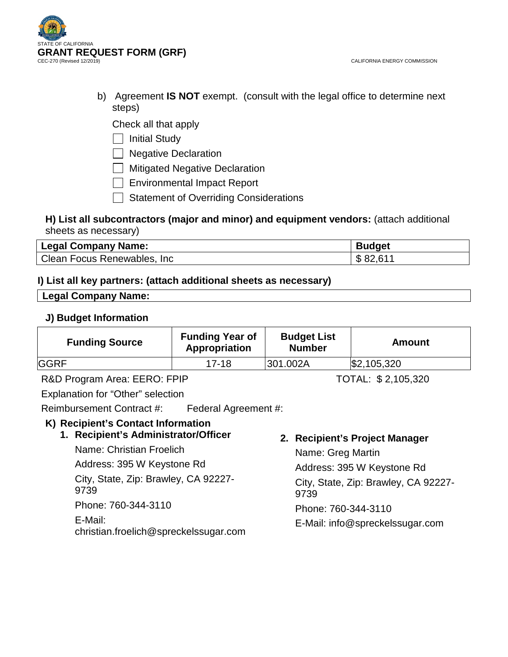

b) Agreement **IS NOT** exempt. (consult with the legal office to determine next steps)

Check all that apply

 $\Box$  Initial Study

□ Negative Declaration

**Mitigated Negative Declaration** 

Environmental Impact Report

Statement of Overriding Considerations

# **H) List all subcontractors (major and minor) and equipment vendors:** (attach additional sheets as necessary)

| <b>Legal Company Name:</b>  | <b>Budget</b> |
|-----------------------------|---------------|
| Clean Focus Renewables, Inc | \$82,611      |

# **I) List all key partners: (attach additional sheets as necessary)**

## **Legal Company Name:**

# **J) Budget Information**

| <b>Funding Source</b> | <b>Funding Year of</b><br>Appropriation | <b>Budget List</b><br><b>Number</b> | Amount      |
|-----------------------|-----------------------------------------|-------------------------------------|-------------|
| <b>GGRF</b>           | 17-18                                   | 301.002A                            | \$2,105,320 |

R&D Program Area: EERO: FPIP TOTAL: \$2,105,320

Explanation for "Other" selection

Reimbursement Contract #: Federal Agreement #:

# **K) Recipient's Contact Information**

**1. Recipient's Administrator/Officer**

Name: Christian Froelich

Address: 395 W Keystone Rd

City, State, Zip: Brawley, CA 92227- 9739

Phone: 760-344-3110

E-Mail:

christian.froelich@spreckelssugar.com

# **2. Recipient's Project Manager**

Name: Greg Martin Address: 395 W Keystone Rd City, State, Zip: Brawley, CA 92227- 9739 Phone: 760-344-3110 E-Mail: info@spreckelssugar.com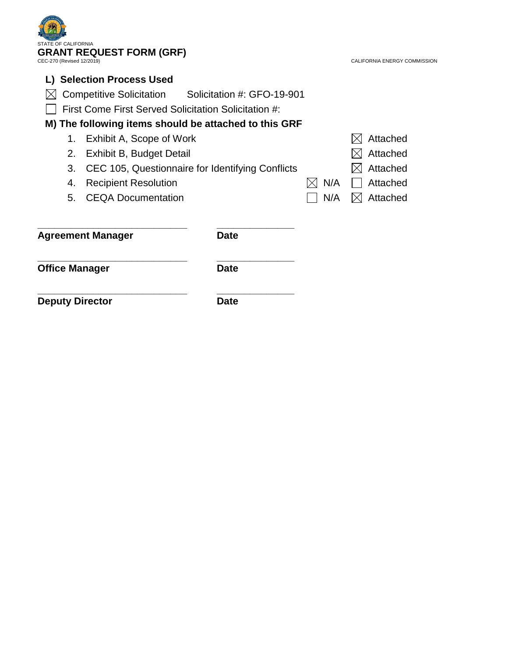| <b>STATE OF CALIFORNIA</b><br><b>GRANT REQUEST FORM (GRF)</b><br>CEC-270 (Revised 12/2019) | CALIFORNIA ENERGY COMMISSION |                                                               |  |          |          |
|--------------------------------------------------------------------------------------------|------------------------------|---------------------------------------------------------------|--|----------|----------|
|                                                                                            |                              | <b>Selection Process Used</b>                                 |  |          |          |
|                                                                                            |                              | Solicitation #: GFO-19-901<br><b>Competitive Solicitation</b> |  |          |          |
|                                                                                            |                              | First Come First Served Solicitation Solicitation #:          |  |          |          |
|                                                                                            |                              | M) The following items should be attached to this GRF         |  |          |          |
|                                                                                            | 1.                           | Exhibit A, Scope of Work                                      |  |          | Attached |
| Exhibit B, Budget Detail<br>2.                                                             |                              |                                                               |  | Attached |          |
|                                                                                            | 3.                           | CEC 105, Questionnaire for Identifying Conflicts              |  |          | Attached |
|                                                                                            | 4.                           | <b>Recipient Resolution</b>                                   |  | N/A      | Attached |
|                                                                                            | 5.                           | <b>CEQA Documentation</b>                                     |  | N/A      | Attached |
|                                                                                            |                              | <b>Agreement Manager</b><br>Date                              |  |          |          |
| <b>Office Manager</b>                                                                      |                              | Date                                                          |  |          |          |
| <b>Deputy Director</b>                                                                     |                              | Date                                                          |  |          |          |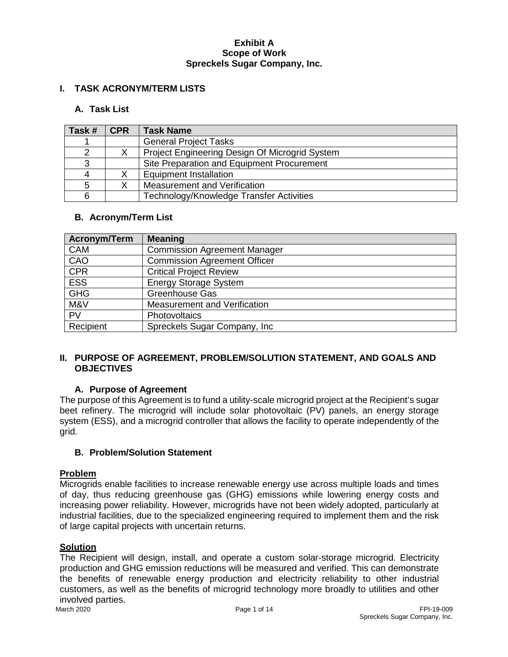#### **I. TASK ACRONYM/TERM LISTS**

## **A. Task List**

| Task # | <b>CPR</b> | <b>Task Name</b>                               |
|--------|------------|------------------------------------------------|
|        |            | <b>General Project Tasks</b>                   |
|        |            | Project Engineering Design Of Microgrid System |
| 3      |            | Site Preparation and Equipment Procurement     |
| 4      |            | <b>Equipment Installation</b>                  |
| 5      |            | Measurement and Verification                   |
| 6      |            | Technology/Knowledge Transfer Activities       |

#### **B. Acronym/Term List**

| <b>Acronym/Term</b> | <b>Meaning</b>                      |
|---------------------|-------------------------------------|
| <b>CAM</b>          | <b>Commission Agreement Manager</b> |
| CAO                 | <b>Commission Agreement Officer</b> |
| <b>CPR</b>          | <b>Critical Project Review</b>      |
| <b>ESS</b>          | <b>Energy Storage System</b>        |
| <b>GHG</b>          | Greenhouse Gas                      |
| M&V                 | Measurement and Verification        |
| PV                  | Photovoltaics                       |
| Recipient           | Spreckels Sugar Company, Inc        |

## **II. PURPOSE OF AGREEMENT, PROBLEM/SOLUTION STATEMENT, AND GOALS AND OBJECTIVES**

## **A. Purpose of Agreement**

The purpose of this Agreement is to fund a utility-scale microgrid project at the Recipient's sugar beet refinery. The microgrid will include solar photovoltaic (PV) panels, an energy storage system (ESS), and a microgrid controller that allows the facility to operate independently of the grid.

#### **B. Problem/Solution Statement**

#### **Problem**

Microgrids enable facilities to increase renewable energy use across multiple loads and times of day, thus reducing greenhouse gas (GHG) emissions while lowering energy costs and increasing power reliability. However, microgrids have not been widely adopted, particularly at industrial facilities, due to the specialized engineering required to implement them and the risk of large capital projects with uncertain returns.

# **Solution**

The Recipient will design, install, and operate a custom solar-storage microgrid. Electricity production and GHG emission reductions will be measured and verified. This can demonstrate the benefits of renewable energy production and electricity reliability to other industrial customers, as well as the benefits of microgrid technology more broadly to utilities and other involved parties.<br>March 2020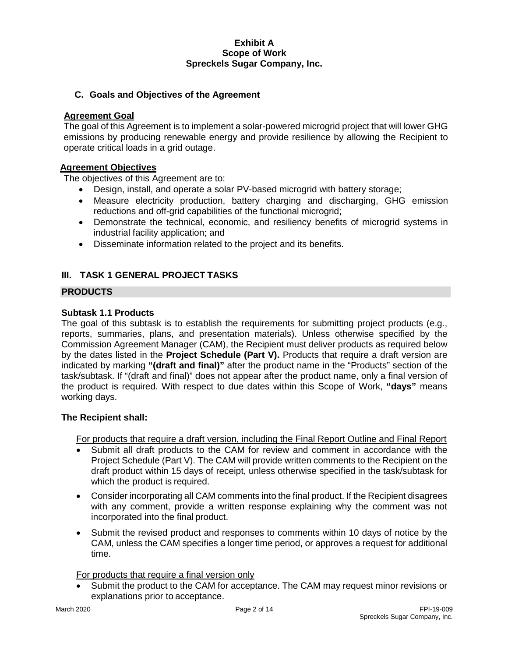## **C. Goals and Objectives of the Agreement**

#### **Agreement Goal**

The goal of this Agreement is to implement a solar-powered microgrid project that will lower GHG emissions by producing renewable energy and provide resilience by allowing the Recipient to operate critical loads in a grid outage.

#### **Agreement Objectives**

The objectives of this Agreement are to:

- Design, install, and operate a solar PV-based microgrid with battery storage;
- Measure electricity production, battery charging and discharging, GHG emission reductions and off-grid capabilities of the functional microgrid;
- Demonstrate the technical, economic, and resiliency benefits of microgrid systems in industrial facility application; and
- Disseminate information related to the project and its benefits.

# **III. TASK 1 GENERAL PROJECT TASKS**

## **PRODUCTS**

#### **Subtask 1.1 Products**

The goal of this subtask is to establish the requirements for submitting project products (e.g., reports, summaries, plans, and presentation materials). Unless otherwise specified by the Commission Agreement Manager (CAM), the Recipient must deliver products as required below by the dates listed in the **Project Schedule (Part V).** Products that require a draft version are indicated by marking **"(draft and final)"** after the product name in the "Products" section of the task/subtask. If "(draft and final)" does not appear after the product name, only a final version of the product is required. With respect to due dates within this Scope of Work, **"days"** means working days.

#### **The Recipient shall:**

For products that require a draft version, including the Final Report Outline and Final Report

- Submit all draft products to the CAM for review and comment in accordance with the Project Schedule (Part V). The CAM will provide written comments to the Recipient on the draft product within 15 days of receipt, unless otherwise specified in the task/subtask for which the product is required.
- Consider incorporating all CAM comments into the final product. If the Recipient disagrees with any comment, provide a written response explaining why the comment was not incorporated into the final product.
- Submit the revised product and responses to comments within 10 days of notice by the CAM, unless the CAM specifies a longer time period, or approves a request for additional time.

For products that require a final version only

• Submit the product to the CAM for acceptance. The CAM may request minor revisions or explanations prior to acceptance.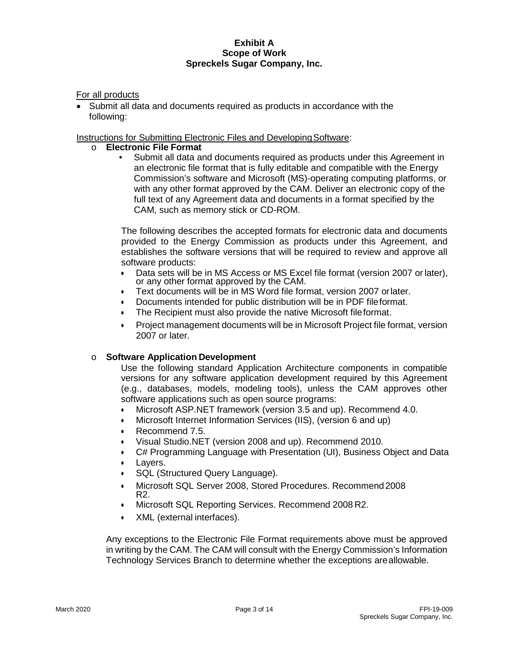For all products

• Submit all data and documents required as products in accordance with the following:

## Instructions for Submitting Electronic Files and Developing Software:

# o **Electronic File Format**

• Submit all data and documents required as products under this Agreement in an electronic file format that is fully editable and compatible with the Energy Commission's software and Microsoft (MS)-operating computing platforms, or with any other format approved by the CAM. Deliver an electronic copy of the full text of any Agreement data and documents in a format specified by the CAM, such as memory stick or CD-ROM.

The following describes the accepted formats for electronic data and documents provided to the Energy Commission as products under this Agreement, and establishes the software versions that will be required to review and approve all software products:

- Data sets will be in MS Access or MS Excel file format (version 2007 or later), or any other format approved by the CAM.
- Text documents will be in MS Word file format, version 2007 orlater.
- Documents intended for public distribution will be in PDF fileformat.
- The Recipient must also provide the native Microsoft fileformat.
- Project management documents will be in Microsoft Project file format, version 2007 or later.

## o **Software Application Development**

Use the following standard Application Architecture components in compatible versions for any software application development required by this Agreement (e.g., databases, models, modeling tools), unless the CAM approves other software applications such as open source programs:

- Microsoft ASP.NET framework (version 3.5 and up). Recommend 4.0.
- Microsoft Internet Information Services (IIS), (version 6 and up)
- Recommend 7.5.
- Visual Studio.NET (version 2008 and up). Recommend 2010.
- C# Programming Language with Presentation (UI), Business Object and Data
- Layers.
- SQL (Structured Query Language).
- Microsoft SQL Server 2008, Stored Procedures. Recommend2008 R2.
- Microsoft SQL Reporting Services. Recommend 2008 R2.
- XML (external interfaces).

Any exceptions to the Electronic File Format requirements above must be approved in writing by the CAM. The CAM will consult with the Energy Commission's Information Technology Services Branch to determine whether the exceptions areallowable.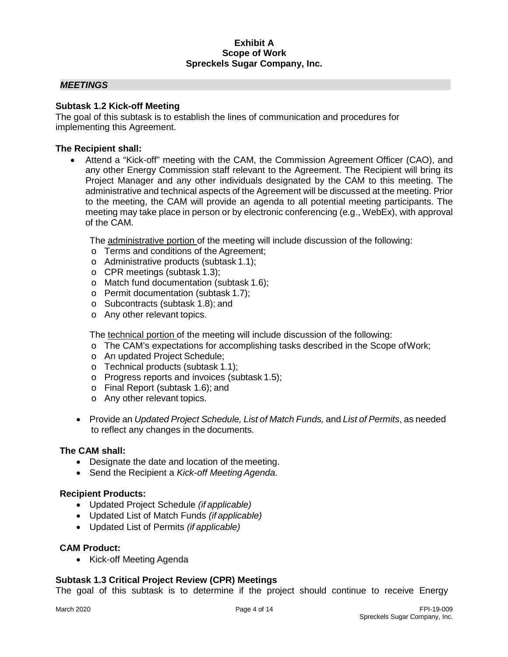#### *MEETINGS*

#### **Subtask 1.2 Kick-off Meeting**

The goal of this subtask is to establish the lines of communication and procedures for implementing this Agreement.

#### **The Recipient shall:**

• Attend a "Kick-off" meeting with the CAM, the Commission Agreement Officer (CAO), and any other Energy Commission staff relevant to the Agreement. The Recipient will bring its Project Manager and any other individuals designated by the CAM to this meeting. The administrative and technical aspects of the Agreement will be discussed at the meeting. Prior to the meeting, the CAM will provide an agenda to all potential meeting participants. The meeting may take place in person or by electronic conferencing (e.g., WebEx), with approval of the CAM.

The administrative portion of the meeting will include discussion of the following:

- o Terms and conditions of the Agreement;
- o Administrative products (subtask 1.1);
- o CPR meetings (subtask 1.3);
- o Match fund documentation (subtask 1.6);
- o Permit documentation (subtask 1.7);
- o Subcontracts (subtask 1.8); and
- o Any other relevant topics.

The technical portion of the meeting will include discussion of the following:

- o The CAM's expectations for accomplishing tasks described in the Scope ofWork;
- o An updated Project Schedule;
- o Technical products (subtask 1.1);
- o Progress reports and invoices (subtask 1.5);
- o Final Report (subtask 1.6); and
- o Any other relevant topics.
- Provide an *Updated Project Schedule, List of Match Funds,* and *List of Permits*, as needed to reflect any changes in the documents.

#### **The CAM shall:**

- Designate the date and location of the meeting.
- Send the Recipient a *Kick-off Meeting Agenda*.

#### **Recipient Products:**

- Updated Project Schedule *(if applicable)*
- Updated List of Match Funds *(if applicable)*
- Updated List of Permits *(if applicable)*

#### **CAM Product:**

• Kick-off Meeting Agenda

## **Subtask 1.3 Critical Project Review (CPR) Meetings**

The goal of this subtask is to determine if the project should continue to receive Energy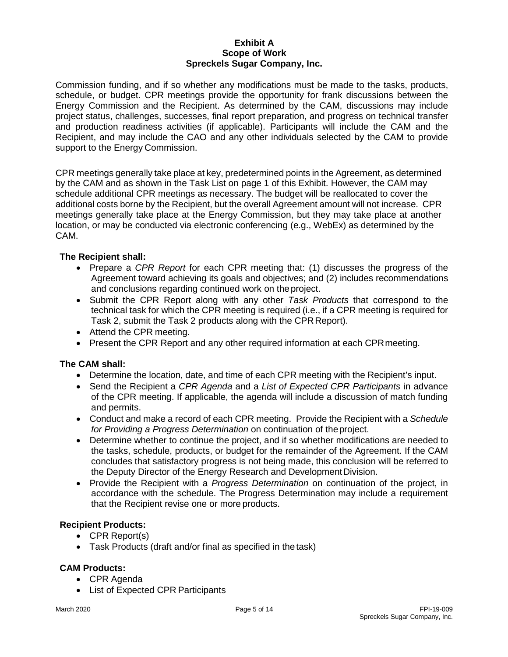Commission funding, and if so whether any modifications must be made to the tasks, products, schedule, or budget. CPR meetings provide the opportunity for frank discussions between the Energy Commission and the Recipient. As determined by the CAM, discussions may include project status, challenges, successes, final report preparation, and progress on technical transfer and production readiness activities (if applicable). Participants will include the CAM and the Recipient, and may include the CAO and any other individuals selected by the CAM to provide support to the Energy Commission.

CPR meetings generally take place at key, predetermined points in the Agreement, as determined by the CAM and as shown in the Task List on page 1 of this Exhibit. However, the CAM may schedule additional CPR meetings as necessary. The budget will be reallocated to cover the additional costs borne by the Recipient, but the overall Agreement amount will not increase. CPR meetings generally take place at the Energy Commission, but they may take place at another location, or may be conducted via electronic conferencing (e.g., WebEx) as determined by the CAM.

#### **The Recipient shall:**

- Prepare a *CPR Report* for each CPR meeting that: (1) discusses the progress of the Agreement toward achieving its goals and objectives; and (2) includes recommendations and conclusions regarding continued work on theproject.
- Submit the CPR Report along with any other *Task Products* that correspond to the technical task for which the CPR meeting is required (i.e., if a CPR meeting is required for Task 2, submit the Task 2 products along with the CPR Report).
- Attend the CPR meeting.
- Present the CPR Report and any other required information at each CPRmeeting.

#### **The CAM shall:**

- Determine the location, date, and time of each CPR meeting with the Recipient's input.
- Send the Recipient a *CPR Agenda* and a *List of Expected CPR Participants* in advance of the CPR meeting. If applicable, the agenda will include a discussion of match funding and permits.
- Conduct and make a record of each CPR meeting. Provide the Recipient with a *Schedule for Providing a Progress Determination* on continuation of theproject.
- Determine whether to continue the project, and if so whether modifications are needed to the tasks, schedule, products, or budget for the remainder of the Agreement. If the CAM concludes that satisfactory progress is not being made, this conclusion will be referred to the Deputy Director of the Energy Research and Development Division.
- Provide the Recipient with a *Progress Determination* on continuation of the project, in accordance with the schedule. The Progress Determination may include a requirement that the Recipient revise one or more products.

#### **Recipient Products:**

- CPR Report(s)
- Task Products (draft and/or final as specified in the task)

#### **CAM Products:**

- CPR Agenda
- List of Expected CPR Participants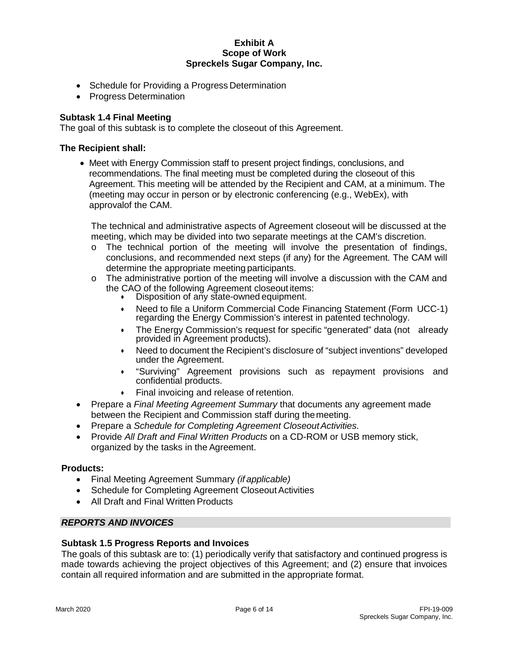- Schedule for Providing a Progress Determination
- Progress Determination

#### **Subtask 1.4 Final Meeting**

The goal of this subtask is to complete the closeout of this Agreement.

#### **The Recipient shall:**

• Meet with Energy Commission staff to present project findings, conclusions, and recommendations. The final meeting must be completed during the closeout of this Agreement. This meeting will be attended by the Recipient and CAM, at a minimum. The (meeting may occur in person or by electronic conferencing (e.g., WebEx), with approvalof the CAM.

The technical and administrative aspects of Agreement closeout will be discussed at the meeting, which may be divided into two separate meetings at the CAM's discretion.

- $\circ$  The technical portion of the meeting will involve the presentation of findings, conclusions, and recommended next steps (if any) for the Agreement. The CAM will determine the appropriate meeting participants.
- $\circ$  The administrative portion of the meeting will involve a discussion with the CAM and the CAO of the following Agreement closeout items:
	- Disposition of any state-owned equipment.
	- Need to file a Uniform Commercial Code Financing Statement (Form UCC-1) regarding the Energy Commission's interest in patented technology.
	- The Energy Commission's request for specific "generated" data (not already provided in Agreement products).
	- Need to document the Recipient's disclosure of "subject inventions" developed under the Agreement.
	- "Surviving" Agreement provisions such as repayment provisions and confidential products.
	- Final invoicing and release of retention.
- Prepare a *Final Meeting Agreement Summary* that documents any agreement made between the Recipient and Commission staff during themeeting.
- Prepare a *Schedule for Completing Agreement CloseoutActivities*.
- Provide *All Draft and Final Written Products* on a CD-ROM or USB memory stick, organized by the tasks in the Agreement.

#### **Products:**

- Final Meeting Agreement Summary *(if applicable)*
- **Schedule for Completing Agreement Closeout Activities**
- All Draft and Final Written Products

#### *REPORTS AND INVOICES*

#### **Subtask 1.5 Progress Reports and Invoices**

The goals of this subtask are to: (1) periodically verify that satisfactory and continued progress is made towards achieving the project objectives of this Agreement; and (2) ensure that invoices contain all required information and are submitted in the appropriate format.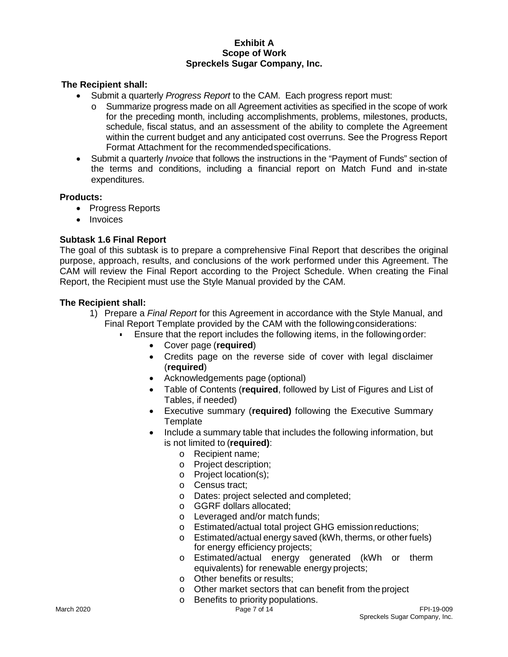## **The Recipient shall:**

- Submit a quarterly *Progress Report* to the CAM. Each progress report must:
	- $\circ$  Summarize progress made on all Agreement activities as specified in the scope of work for the preceding month, including accomplishments, problems, milestones, products, schedule, fiscal status, and an assessment of the ability to complete the Agreement within the current budget and any anticipated cost overruns. See the Progress Report Format Attachment for the recommendedspecifications.
- Submit a quarterly *Invoice* that follows the instructions in the "Payment of Funds" section of the terms and conditions, including a financial report on Match Fund and in-state expenditures.

#### **Products:**

- Progress Reports
- Invoices

# **Subtask 1.6 Final Report**

The goal of this subtask is to prepare a comprehensive Final Report that describes the original purpose, approach, results, and conclusions of the work performed under this Agreement. The CAM will review the Final Report according to the Project Schedule. When creating the Final Report, the Recipient must use the Style Manual provided by the CAM.

- 1) Prepare a *Final Report* for this Agreement in accordance with the Style Manual, and Final Report Template provided by the CAM with the followingconsiderations:
	- Ensure that the report includes the following items, in the followingorder:
		- Cover page (**required**)
		- Credits page on the reverse side of cover with legal disclaimer (**required**)
		- Acknowledgements page (optional)
		- Table of Contents (**required**, followed by List of Figures and List of Tables, if needed)
		- Executive summary (**required)** following the Executive Summary **Template**
		- Include a summary table that includes the following information, but is not limited to (**required)**:
			- o Recipient name;
			- o Project description;
			- o Project location(s);
			- o Census tract;
			- o Dates: project selected and completed;
			- o GGRF dollars allocated;
			- o Leveraged and/or match funds;
			- o Estimated/actual total project GHG emissionreductions;
			- o Estimated/actual energy saved (kWh, therms, or other fuels) for energy efficiency projects;
			- o Estimated/actual energy generated (kWh or therm equivalents) for renewable energy projects;
			- o Other benefits or results;
			- $\circ$  Other market sectors that can benefit from the project  $\circ$  Benefits to priority populations.
			- Benefits to priority populations.<br>Page 7 of 14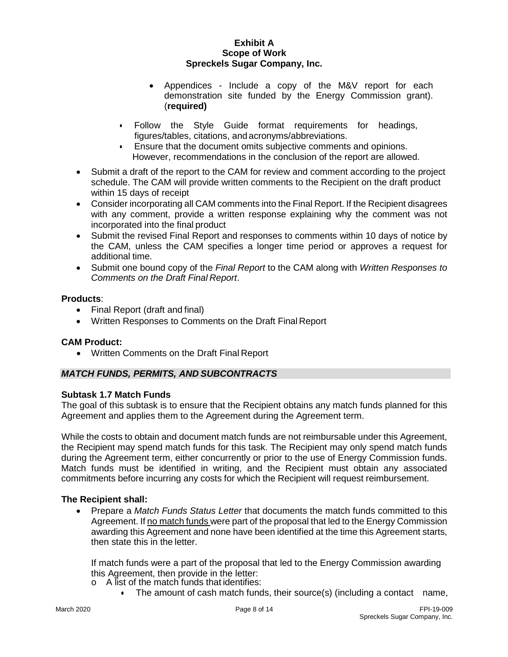- Appendices Include a copy of the M&V report for each demonstration site funded by the Energy Commission grant). (**required)**
- Follow the Style Guide format requirements for headings, figures/tables, citations, and acronyms/abbreviations.
- Ensure that the document omits subjective comments and opinions. However, recommendations in the conclusion of the report are allowed.
- Submit a draft of the report to the CAM for review and comment according to the project schedule. The CAM will provide written comments to the Recipient on the draft product within 15 days of receipt
- Consider incorporating all CAM comments into the Final Report. If the Recipient disagrees with any comment, provide a written response explaining why the comment was not incorporated into the final product
- Submit the revised Final Report and responses to comments within 10 days of notice by the CAM, unless the CAM specifies a longer time period or approves a request for additional time.
- Submit one bound copy of the *Final Report* to the CAM along with *Written Responses to Comments on the Draft Final Report*.

## **Products**:

- Final Report (draft and final)
- Written Responses to Comments on the Draft Final Report

## **CAM Product:**

• Written Comments on the Draft Final Report

# *MATCH FUNDS, PERMITS, AND SUBCONTRACTS*

## **Subtask 1.7 Match Funds**

The goal of this subtask is to ensure that the Recipient obtains any match funds planned for this Agreement and applies them to the Agreement during the Agreement term.

While the costs to obtain and document match funds are not reimbursable under this Agreement, the Recipient may spend match funds for this task. The Recipient may only spend match funds during the Agreement term, either concurrently or prior to the use of Energy Commission funds. Match funds must be identified in writing, and the Recipient must obtain any associated commitments before incurring any costs for which the Recipient will request reimbursement.

## **The Recipient shall:**

• Prepare a *Match Funds Status Letter* that documents the match funds committed to this Agreement. If no match funds were part of the proposal that led to the Energy Commission awarding this Agreement and none have been identified at the time this Agreement starts, then state this in the letter.

If match funds were a part of the proposal that led to the Energy Commission awarding this Agreement, then provide in the letter:

- o A list of the match funds that identifies:
	- The amount of cash match funds, their source(s) (including a contact name,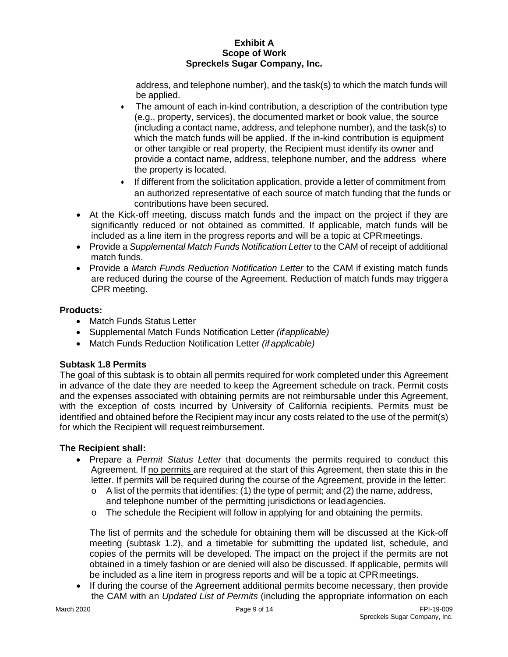address, and telephone number), and the task(s) to which the match funds will be applied.

- The amount of each in-kind contribution, a description of the contribution type (e.g., property, services), the documented market or book value, the source (including a contact name, address, and telephone number), and the task(s) to which the match funds will be applied. If the in-kind contribution is equipment or other tangible or real property, the Recipient must identify its owner and provide a contact name, address, telephone number, and the address where the property is located.
- If different from the solicitation application, provide a letter of commitment from an authorized representative of each source of match funding that the funds or contributions have been secured.
- At the Kick-off meeting, discuss match funds and the impact on the project if they are significantly reduced or not obtained as committed. If applicable, match funds will be included as a line item in the progress reports and will be a topic at CPRmeetings.
- Provide a *Supplemental Match Funds Notification Letter* to the CAM of receipt of additional match funds.
- Provide a *Match Funds Reduction Notification Letter* to the CAM if existing match funds are reduced during the course of the Agreement. Reduction of match funds may triggera CPR meeting.

# **Products:**

- Match Funds Status Letter
- Supplemental Match Funds Notification Letter *(ifapplicable)*
- Match Funds Reduction Notification Letter *(if applicable)*

# **Subtask 1.8 Permits**

The goal of this subtask is to obtain all permits required for work completed under this Agreement in advance of the date they are needed to keep the Agreement schedule on track. Permit costs and the expenses associated with obtaining permits are not reimbursable under this Agreement, with the exception of costs incurred by University of California recipients. Permits must be identified and obtained before the Recipient may incur any costs related to the use of the permit(s) for which the Recipient will request reimbursement.

# **The Recipient shall:**

- Prepare a *Permit Status Letter* that documents the permits required to conduct this Agreement. If no permits are required at the start of this Agreement, then state this in the letter. If permits will be required during the course of the Agreement, provide in the letter:
	- o A list of the permits that identifies: (1) the type of permit; and (2) the name, address, and telephone number of the permitting jurisdictions or leadagencies.
	- $\circ$  The schedule the Recipient will follow in applying for and obtaining the permits.

The list of permits and the schedule for obtaining them will be discussed at the Kick-off meeting (subtask 1.2), and a timetable for submitting the updated list, schedule, and copies of the permits will be developed. The impact on the project if the permits are not obtained in a timely fashion or are denied will also be discussed. If applicable, permits will be included as a line item in progress reports and will be a topic at CPRmeetings.

• If during the course of the Agreement additional permits become necessary, then provide the CAM with an *Updated List of Permits* (including the appropriate information on each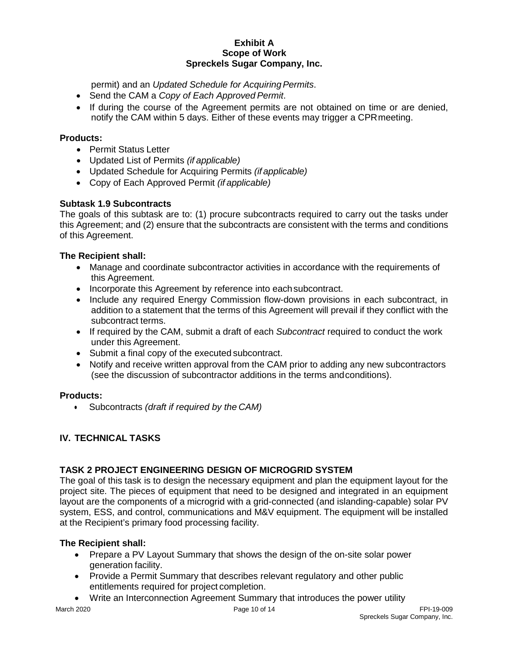permit) and an *Updated Schedule for Acquiring Permits*.

- Send the CAM a *Copy of Each Approved Permit*.
- If during the course of the Agreement permits are not obtained on time or are denied, notify the CAM within 5 days. Either of these events may trigger a CPRmeeting.

## **Products:**

- Permit Status Letter
- Updated List of Permits *(if applicable)*
- Updated Schedule for Acquiring Permits *(if applicable)*
- Copy of Each Approved Permit *(if applicable)*

# **Subtask 1.9 Subcontracts**

The goals of this subtask are to: (1) procure subcontracts required to carry out the tasks under this Agreement; and (2) ensure that the subcontracts are consistent with the terms and conditions of this Agreement.

## **The Recipient shall:**

- Manage and coordinate subcontractor activities in accordance with the requirements of this Agreement.
- Incorporate this Agreement by reference into eachsubcontract.
- Include any required Energy Commission flow-down provisions in each subcontract, in addition to a statement that the terms of this Agreement will prevail if they conflict with the subcontract terms.
- If required by the CAM, submit a draft of each *Subcontract* required to conduct the work under this Agreement.
- Submit a final copy of the executed subcontract.
- Notify and receive written approval from the CAM prior to adding any new subcontractors (see the discussion of subcontractor additions in the terms andconditions).

## **Products:**

• Subcontracts *(draft if required by the CAM)*

# **IV. TECHNICAL TASKS**

# **TASK 2 PROJECT ENGINEERING DESIGN OF MICROGRID SYSTEM**

The goal of this task is to design the necessary equipment and plan the equipment layout for the project site. The pieces of equipment that need to be designed and integrated in an equipment layout are the components of a microgrid with a grid-connected (and islanding-capable) solar PV system, ESS, and control, communications and M&V equipment. The equipment will be installed at the Recipient's primary food processing facility.

- Prepare a PV Layout Summary that shows the design of the on-site solar power generation facility.
- Provide a Permit Summary that describes relevant regulatory and other public entitlements required for project completion.
- Write an Interconnection Agreement Summary that introduces the power utility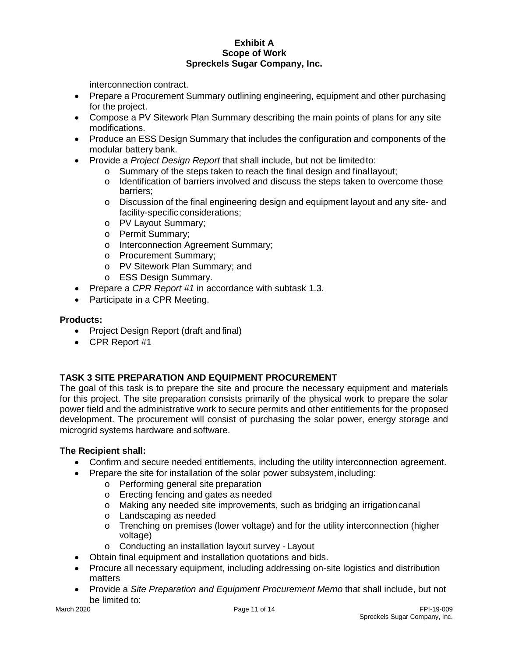interconnection contract.

- Prepare a Procurement Summary outlining engineering, equipment and other purchasing for the project.
- Compose a PV Sitework Plan Summary describing the main points of plans for any site modifications.
- Produce an ESS Design Summary that includes the configuration and components of the modular battery bank.
- Provide a *Project Design Report* that shall include, but not be limitedto:
	- o Summary of the steps taken to reach the final design and final layout;<br>o Identification of barriers involved and discuss the steps taken to overd
		- Identification of barriers involved and discuss the steps taken to overcome those barriers;
		- o Discussion of the final engineering design and equipment layout and any site- and facility-specific considerations;
		- o PV Layout Summary;
		- o Permit Summary;
		- o Interconnection Agreement Summary;
		- o Procurement Summary;
		- o PV Sitework Plan Summary; and
		- o ESS Design Summary.
- Prepare a *CPR Report #1* in accordance with subtask 1.3.
- Participate in a CPR Meeting.

#### **Products:**

- Project Design Report (draft and final)
- CPR Report #1

## **TASK 3 SITE PREPARATION AND EQUIPMENT PROCUREMENT**

The goal of this task is to prepare the site and procure the necessary equipment and materials for this project. The site preparation consists primarily of the physical work to prepare the solar power field and the administrative work to secure permits and other entitlements for the proposed development. The procurement will consist of purchasing the solar power, energy storage and microgrid systems hardware and software.

- Confirm and secure needed entitlements, including the utility interconnection agreement.
- Prepare the site for installation of the solar power subsystem, including:
	- o Performing general site preparation
	- o Erecting fencing and gates as needed
	- o Making any needed site improvements, such as bridging an irrigationcanal
	- o Landscaping as needed
	- $\circ$  Trenching on premises (lower voltage) and for the utility interconnection (higher voltage)
	- o Conducting an installation layout survey Layout
- Obtain final equipment and installation quotations and bids.
- Procure all necessary equipment, including addressing on-site logistics and distribution matters
- Provide a *Site Preparation and Equipment Procurement Memo* that shall include, but not be limited to:<br>March 2020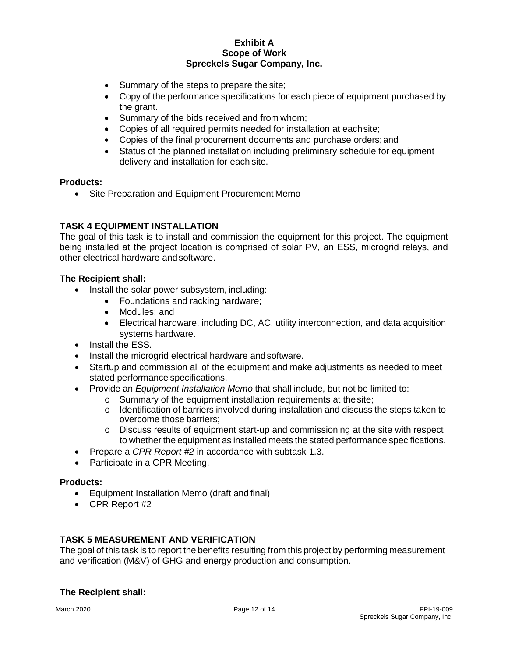- Summary of the steps to prepare the site;
- Copy of the performance specifications for each piece of equipment purchased by the grant.
- Summary of the bids received and from whom;
- Copies of all required permits needed for installation at eachsite;
- Copies of the final procurement documents and purchase orders;and
- Status of the planned installation including preliminary schedule for equipment delivery and installation for each site.

#### **Products:**

• Site Preparation and Equipment Procurement Memo

# **TASK 4 EQUIPMENT INSTALLATION**

The goal of this task is to install and commission the equipment for this project. The equipment being installed at the project location is comprised of solar PV, an ESS, microgrid relays, and other electrical hardware andsoftware.

## **The Recipient shall:**

- Install the solar power subsystem, including:
	- Foundations and racking hardware;
	- Modules; and
	- Electrical hardware, including DC, AC, utility interconnection, and data acquisition systems hardware.
- Install the ESS.
- Install the microgrid electrical hardware and software.
- Startup and commission all of the equipment and make adjustments as needed to meet stated performance specifications.
- Provide an *Equipment Installation Memo* that shall include, but not be limited to:
	- o Summary of the equipment installation requirements at thesite;
	- $\circ$  Identification of barriers involved during installation and discuss the steps taken to overcome those barriers;
	- o Discuss results of equipment start-up and commissioning at the site with respect to whether the equipment as installed meets the stated performance specifications.
- Prepare a *CPR Report #2* in accordance with subtask 1.3.
- Participate in a CPR Meeting.

## **Products:**

- Equipment Installation Memo (draft and final)
- CPR Report #2

## **TASK 5 MEASUREMENT AND VERIFICATION**

The goal of this task is to report the benefits resulting from this project by performing measurement and verification (M&V) of GHG and energy production and consumption.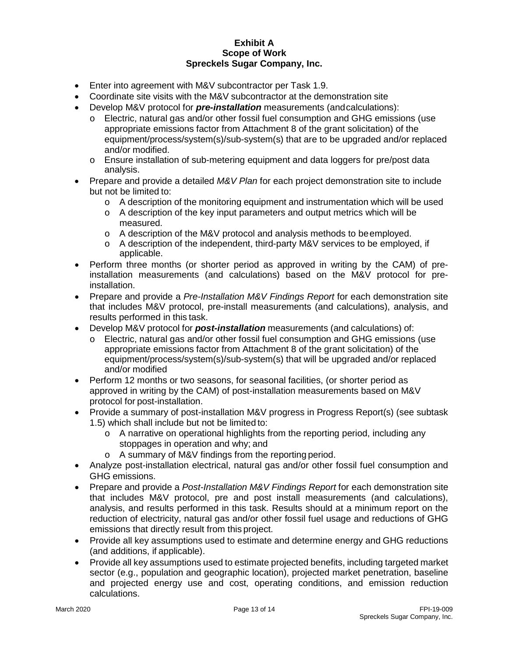- Enter into agreement with M&V subcontractor per Task 1.9.
- Coordinate site visits with the M&V subcontractor at the demonstration site
- Develop M&V protocol for *pre-installation* measurements (andcalculations):
	- Electric, natural gas and/or other fossil fuel consumption and GHG emissions (use appropriate emissions factor from Attachment 8 of the grant solicitation) of the equipment/process/system(s)/sub-system(s) that are to be upgraded and/or replaced and/or modified.
	- o Ensure installation of sub-metering equipment and data loggers for pre/post data analysis.
- Prepare and provide a detailed *M&V Plan* for each project demonstration site to include but not be limited to:
	- $\circ$  A description of the monitoring equipment and instrumentation which will be used
	- o A description of the key input parameters and output metrics which will be measured.
	- o A description of the M&V protocol and analysis methods to beemployed.
	- o A description of the independent, third-party M&V services to be employed, if applicable.
- Perform three months (or shorter period as approved in writing by the CAM) of preinstallation measurements (and calculations) based on the M&V protocol for preinstallation.
- Prepare and provide a *Pre-Installation M&V Findings Report* for each demonstration site that includes M&V protocol, pre-install measurements (and calculations), analysis, and results performed in this task.
- Develop M&V protocol for *post-installation* measurements (and calculations) of:
	- o Electric, natural gas and/or other fossil fuel consumption and GHG emissions (use appropriate emissions factor from Attachment 8 of the grant solicitation) of the equipment/process/system(s)/sub-system(s) that will be upgraded and/or replaced and/or modified
- Perform 12 months or two seasons, for seasonal facilities, (or shorter period as approved in writing by the CAM) of post-installation measurements based on M&V protocol for post-installation.
- Provide a summary of post-installation M&V progress in Progress Report(s) (see subtask 1.5) which shall include but not be limited to:
	- $\circ$  A narrative on operational highlights from the reporting period, including any stoppages in operation and why; and
	- o A summary of M&V findings from the reporting period.
- Analyze post-installation electrical, natural gas and/or other fossil fuel consumption and GHG emissions.
- Prepare and provide a *Post-Installation M&V Findings Report* for each demonstration site that includes M&V protocol, pre and post install measurements (and calculations), analysis, and results performed in this task. Results should at a minimum report on the reduction of electricity, natural gas and/or other fossil fuel usage and reductions of GHG emissions that directly result from this project.
- Provide all key assumptions used to estimate and determine energy and GHG reductions (and additions, if applicable).
- Provide all key assumptions used to estimate projected benefits, including targeted market sector (e.g., population and geographic location), projected market penetration, baseline and projected energy use and cost, operating conditions, and emission reduction calculations.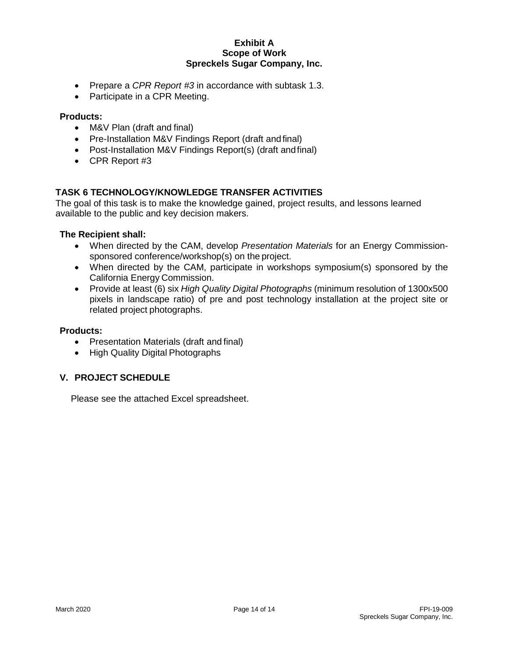- Prepare a *CPR Report #3* in accordance with subtask 1.3.
- Participate in a CPR Meeting.

#### **Products:**

- M&V Plan (draft and final)
- Pre-Installation M&V Findings Report (draft and final)
- Post-Installation M&V Findings Report(s) (draft andfinal)
- CPR Report #3

#### **TASK 6 TECHNOLOGY/KNOWLEDGE TRANSFER ACTIVITIES**

The goal of this task is to make the knowledge gained, project results, and lessons learned available to the public and key decision makers.

#### **The Recipient shall:**

- When directed by the CAM, develop *Presentation Materials* for an Energy Commissionsponsored conference/workshop(s) on the project.
- When directed by the CAM, participate in workshops symposium(s) sponsored by the California Energy Commission.
- Provide at least (6) six *High Quality Digital Photographs* (minimum resolution of 1300x500 pixels in landscape ratio) of pre and post technology installation at the project site or related project photographs.

#### **Products:**

- Presentation Materials (draft and final)
- High Quality Digital Photographs

## **V. PROJECT SCHEDULE**

Please see the attached Excel spreadsheet.